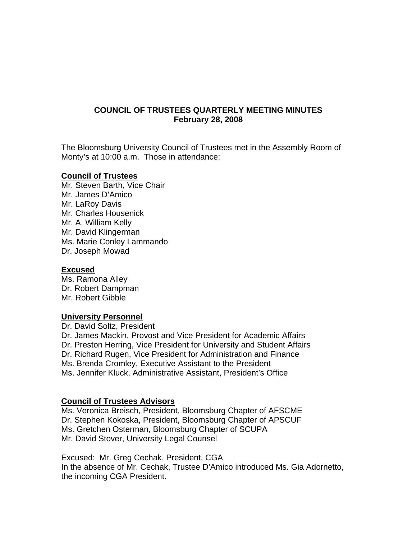# **COUNCIL OF TRUSTEES QUARTERLY MEETING MINUTES February 28, 2008**

The Bloomsburg University Council of Trustees met in the Assembly Room of Monty's at 10:00 a.m. Those in attendance:

## **Council of Trustees**

Mr. Steven Barth, Vice Chair Mr. James D'Amico Mr. LaRoy Davis Mr. Charles Housenick Mr. A. William Kelly Mr. David Klingerman Ms. Marie Conley Lammando Dr. Joseph Mowad

#### **Excused**

Ms. Ramona Alley Dr. Robert Dampman Mr. Robert Gibble

## **University Personnel**

Dr. David Soltz, President Dr. James Mackin, Provost and Vice President for Academic Affairs Dr. Preston Herring, Vice President for University and Student Affairs Dr. Richard Rugen, Vice President for Administration and Finance Ms. Brenda Cromley, Executive Assistant to the President Ms. Jennifer Kluck, Administrative Assistant, President's Office

## **Council of Trustees Advisors**

Ms. Veronica Breisch, President, Bloomsburg Chapter of AFSCME Dr. Stephen Kokoska, President, Bloomsburg Chapter of APSCUF Ms. Gretchen Osterman, Bloomsburg Chapter of SCUPA Mr. David Stover, University Legal Counsel

Excused: Mr. Greg Cechak, President, CGA In the absence of Mr. Cechak, Trustee D'Amico introduced Ms. Gia Adornetto, the incoming CGA President.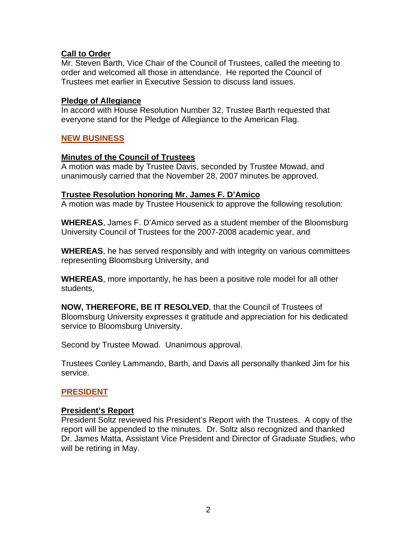## **Call to Order**

Mr. Steven Barth, Vice Chair of the Council of Trustees, called the meeting to order and welcomed all those in attendance. He reported the Council of Trustees met earlier in Executive Session to discuss land issues.

#### **Pledge of Allegiance**

In accord with House Resolution Number 32, Trustee Barth requested that everyone stand for the Pledge of Allegiance to the American Flag.

# **NEW BUSINESS**

#### **Minutes of the Council of Trustees**

A motion was made by Trustee Davis, seconded by Trustee Mowad, and unanimously carried that the November 28, 2007 minutes be approved.

#### **Trustee Resolution honoring Mr. James F. D'Amico**

A motion was made by Trustee Housenick to approve the following resolution:

**WHEREAS**, James F. D'Amico served as a student member of the Bloomsburg University Council of Trustees for the 2007-2008 academic year, and

**WHEREAS**, he has served responsibly and with integrity on various committees representing Bloomsburg University, and

**WHEREAS**, more importantly, he has been a positive role model for all other students,

**NOW, THEREFORE, BE IT RESOLVED**, that the Council of Trustees of Bloomsburg University expresses it gratitude and appreciation for his dedicated service to Bloomsburg University.

Second by Trustee Mowad. Unanimous approval.

Trustees Conley Lammando, Barth, and Davis all personally thanked Jim for his service.

## **PRESIDENT**

#### **President's Report**

President Soltz reviewed his President's Report with the Trustees. A copy of the report will be appended to the minutes. Dr. Soltz also recognized and thanked Dr. James Matta, Assistant Vice President and Director of Graduate Studies, who will be retiring in May.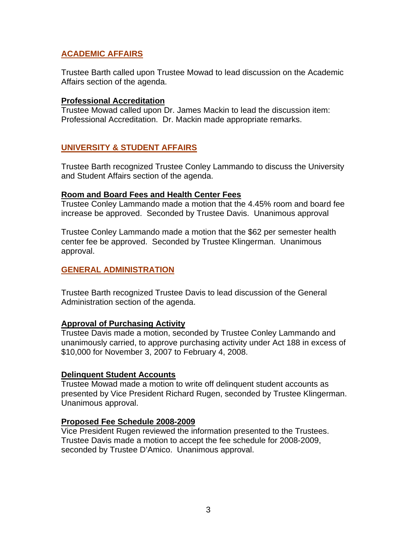# **ACADEMIC AFFAIRS**

Trustee Barth called upon Trustee Mowad to lead discussion on the Academic Affairs section of the agenda.

#### **Professional Accreditation**

Trustee Mowad called upon Dr. James Mackin to lead the discussion item: Professional Accreditation. Dr. Mackin made appropriate remarks.

# **UNIVERSITY & STUDENT AFFAIRS**

Trustee Barth recognized Trustee Conley Lammando to discuss the University and Student Affairs section of the agenda.

#### **Room and Board Fees and Health Center Fees**

Trustee Conley Lammando made a motion that the 4.45% room and board fee increase be approved. Seconded by Trustee Davis. Unanimous approval

Trustee Conley Lammando made a motion that the \$62 per semester health center fee be approved. Seconded by Trustee Klingerman. Unanimous approval.

## **GENERAL ADMINISTRATION**

Trustee Barth recognized Trustee Davis to lead discussion of the General Administration section of the agenda.

## **Approval of Purchasing Activity**

Trustee Davis made a motion, seconded by Trustee Conley Lammando and unanimously carried, to approve purchasing activity under Act 188 in excess of \$10,000 for November 3, 2007 to February 4, 2008.

## **Delinquent Student Accounts**

Trustee Mowad made a motion to write off delinquent student accounts as presented by Vice President Richard Rugen, seconded by Trustee Klingerman. Unanimous approval.

## **Proposed Fee Schedule 2008-2009**

Vice President Rugen reviewed the information presented to the Trustees. Trustee Davis made a motion to accept the fee schedule for 2008-2009, seconded by Trustee D'Amico. Unanimous approval.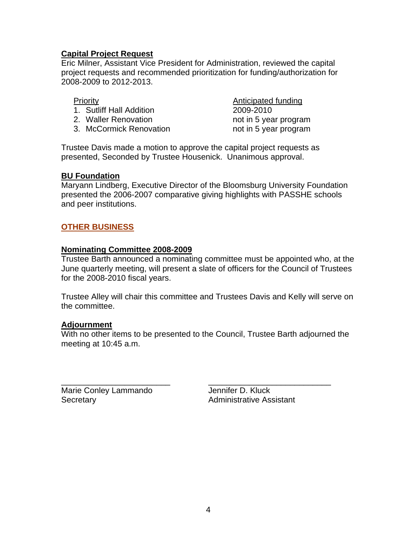# **Capital Project Request**

Eric Milner, Assistant Vice President for Administration, reviewed the capital project requests and recommended prioritization for funding/authorization for 2008-2009 to 2012-2013.

- 1. Sutliff Hall Addition 2009-2010
- 2. Waller Renovation **not in 5 year program**
- 3. McCormick Renovation https://www.mot.in 5 year program

**Priority Anticipated funding** 

Trustee Davis made a motion to approve the capital project requests as presented, Seconded by Trustee Housenick. Unanimous approval.

## **BU Foundation**

Maryann Lindberg, Executive Director of the Bloomsburg University Foundation presented the 2006-2007 comparative giving highlights with PASSHE schools and peer institutions.

# **OTHER BUSINESS**

#### **Nominating Committee 2008-2009**

Trustee Barth announced a nominating committee must be appointed who, at the June quarterly meeting, will present a slate of officers for the Council of Trustees for the 2008-2010 fiscal years.

Trustee Alley will chair this committee and Trustees Davis and Kelly will serve on the committee.

#### **Adjournment**

With no other items to be presented to the Council, Trustee Barth adjourned the meeting at 10:45 a.m.

\_\_\_\_\_\_\_\_\_\_\_\_\_\_\_\_\_\_\_\_\_\_\_\_ \_\_\_\_\_\_\_\_\_\_\_\_\_\_\_\_\_\_\_\_\_\_\_\_\_\_\_

Marie Conley Lammando Jennifer D. Kluck Secretary **Administrative Assistant**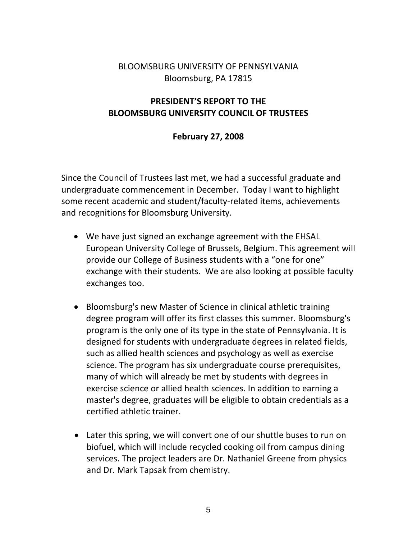# BLOOMSBURG UNIVERSITY OF PENNSYLVANIA Bloomsburg, PA 17815

# **PRESIDENT'S REPORT TO THE BLOOMSBURG UNIVERSITY COUNCIL OF TRUSTEES**

# **February 27, 2008**

Since the Council of Trustees last met, we had a successful graduate and undergraduate commencement in December. Today I want to highlight some recent academic and student/faculty-related items, achievements and recognitions for Bloomsburg University.

- We have just signed an exchange agreement with the EHSAL European University College of Brussels, Belgium. This agreement will provide our College of Business students with a "one for one" exchange with their students. We are also looking at possible faculty exchanges too.
- Bloomsburg's new Master of Science in clinical athletic training degree program will offer its first classes this summer. Bloomsburg's program is the only one of its type in the state of Pennsylvania. It is designed for students with undergraduate degrees in related fields, such as allied health sciences and psychology as well as exercise science. The program has six undergraduate course prerequisites, many of which will already be met by students with degrees in exercise science or allied health sciences. In addition to earning a master's degree, graduates will be eligible to obtain credentials as a certified athletic trainer.
- Later this spring, we will convert one of our shuttle buses to run on biofuel, which will include recycled cooking oil from campus dining services. The project leaders are Dr. Nathaniel Greene from physics and Dr. Mark Tapsak from chemistry.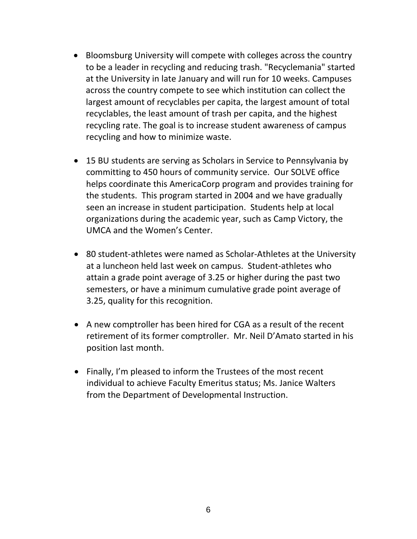- Bloomsburg University will compete with colleges across the country to be a leader in recycling and reducing trash. "Recyclemania" started at the University in late January and will run for 10 weeks. Campuses across the country compete to see which institution can collect the largest amount of recyclables per capita, the largest amount of total recyclables, the least amount of trash per capita, and the highest recycling rate. The goal is to increase student awareness of campus recycling and how to minimize waste.
- 15 BU students are serving as Scholars in Service to Pennsylvania by committing to 450 hours of community service. Our SOLVE office helps coordinate this AmericaCorp program and provides training for the students. This program started in 2004 and we have gradually seen an increase in student participation. Students help at local organizations during the academic year, such as Camp Victory, the UMCA and the Women's Center.
- 80 student‐athletes were named as Scholar‐Athletes at the University at a luncheon held last week on campus. Student‐athletes who attain a grade point average of 3.25 or higher during the past two semesters, or have a minimum cumulative grade point average of 3.25, quality for this recognition.
- A new comptroller has been hired for CGA as a result of the recent retirement of its former comptroller. Mr. Neil D'Amato started in his position last month.
- Finally, I'm pleased to inform the Trustees of the most recent individual to achieve Faculty Emeritus status; Ms. Janice Walters from the Department of Developmental Instruction.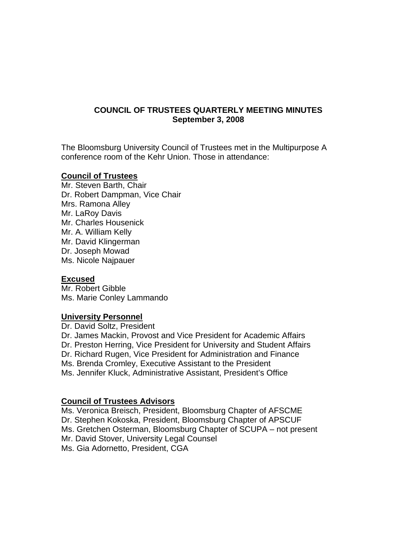# **COUNCIL OF TRUSTEES QUARTERLY MEETING MINUTES September 3, 2008**

The Bloomsburg University Council of Trustees met in the Multipurpose A conference room of the Kehr Union. Those in attendance:

#### **Council of Trustees**

Mr. Steven Barth, Chair Dr. Robert Dampman, Vice Chair Mrs. Ramona Alley Mr. LaRoy Davis Mr. Charles Housenick Mr. A. William Kelly Mr. David Klingerman Dr. Joseph Mowad Ms. Nicole Najpauer

## **Excused**

Mr. Robert Gibble Ms. Marie Conley Lammando

## **University Personnel**

Dr. David Soltz, President Dr. James Mackin, Provost and Vice President for Academic Affairs Dr. Preston Herring, Vice President for University and Student Affairs Dr. Richard Rugen, Vice President for Administration and Finance Ms. Brenda Cromley, Executive Assistant to the President Ms. Jennifer Kluck, Administrative Assistant, President's Office

## **Council of Trustees Advisors**

Ms. Veronica Breisch, President, Bloomsburg Chapter of AFSCME Dr. Stephen Kokoska, President, Bloomsburg Chapter of APSCUF Ms. Gretchen Osterman, Bloomsburg Chapter of SCUPA – not present Mr. David Stover, University Legal Counsel Ms. Gia Adornetto, President, CGA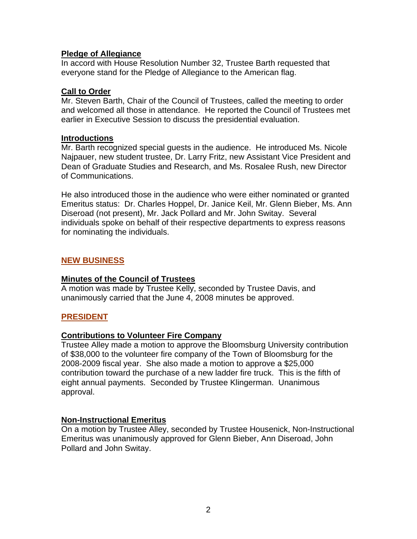# **Pledge of Allegiance**

In accord with House Resolution Number 32, Trustee Barth requested that everyone stand for the Pledge of Allegiance to the American flag.

#### **Call to Order**

Mr. Steven Barth, Chair of the Council of Trustees, called the meeting to order and welcomed all those in attendance. He reported the Council of Trustees met earlier in Executive Session to discuss the presidential evaluation.

#### **Introductions**

Mr. Barth recognized special guests in the audience. He introduced Ms. Nicole Najpauer, new student trustee, Dr. Larry Fritz, new Assistant Vice President and Dean of Graduate Studies and Research, and Ms. Rosalee Rush, new Director of Communications.

He also introduced those in the audience who were either nominated or granted Emeritus status: Dr. Charles Hoppel, Dr. Janice Keil, Mr. Glenn Bieber, Ms. Ann Diseroad (not present), Mr. Jack Pollard and Mr. John Switay. Several individuals spoke on behalf of their respective departments to express reasons for nominating the individuals.

# **NEW BUSINESS**

## **Minutes of the Council of Trustees**

A motion was made by Trustee Kelly, seconded by Trustee Davis, and unanimously carried that the June 4, 2008 minutes be approved.

## **PRESIDENT**

## **Contributions to Volunteer Fire Company**

Trustee Alley made a motion to approve the Bloomsburg University contribution of \$38,000 to the volunteer fire company of the Town of Bloomsburg for the 2008-2009 fiscal year. She also made a motion to approve a \$25,000 contribution toward the purchase of a new ladder fire truck. This is the fifth of eight annual payments. Seconded by Trustee Klingerman. Unanimous approval.

## **Non-Instructional Emeritus**

On a motion by Trustee Alley, seconded by Trustee Housenick, Non-Instructional Emeritus was unanimously approved for Glenn Bieber, Ann Diseroad, John Pollard and John Switay.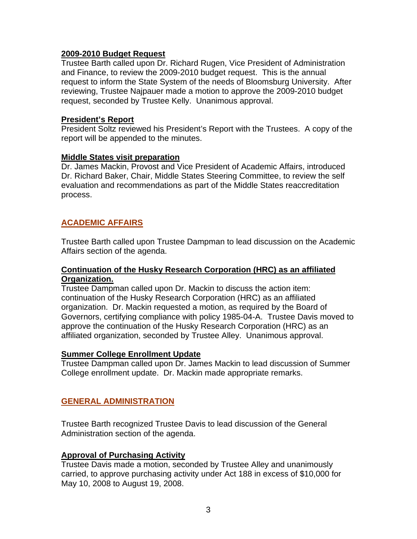#### **2009-2010 Budget Request**

Trustee Barth called upon Dr. Richard Rugen, Vice President of Administration and Finance, to review the 2009-2010 budget request. This is the annual request to inform the State System of the needs of Bloomsburg University. After reviewing, Trustee Najpauer made a motion to approve the 2009-2010 budget request, seconded by Trustee Kelly. Unanimous approval.

#### **President's Report**

President Soltz reviewed his President's Report with the Trustees. A copy of the report will be appended to the minutes.

#### **Middle States visit preparation**

Dr. James Mackin, Provost and Vice President of Academic Affairs, introduced Dr. Richard Baker, Chair, Middle States Steering Committee, to review the self evaluation and recommendations as part of the Middle States reaccreditation process.

# **ACADEMIC AFFAIRS**

Trustee Barth called upon Trustee Dampman to lead discussion on the Academic Affairs section of the agenda.

#### **Continuation of the Husky Research Corporation (HRC) as an affiliated Organization.**

Trustee Dampman called upon Dr. Mackin to discuss the action item: continuation of the Husky Research Corporation (HRC) as an affiliated organization. Dr. Mackin requested a motion, as required by the Board of Governors, certifying compliance with policy 1985-04-A. Trustee Davis moved to approve the continuation of the Husky Research Corporation (HRC) as an affiliated organization, seconded by Trustee Alley. Unanimous approval.

#### **Summer College Enrollment Update**

Trustee Dampman called upon Dr. James Mackin to lead discussion of Summer College enrollment update. Dr. Mackin made appropriate remarks.

## **GENERAL ADMINISTRATION**

Trustee Barth recognized Trustee Davis to lead discussion of the General Administration section of the agenda.

## **Approval of Purchasing Activity**

Trustee Davis made a motion, seconded by Trustee Alley and unanimously carried, to approve purchasing activity under Act 188 in excess of \$10,000 for May 10, 2008 to August 19, 2008.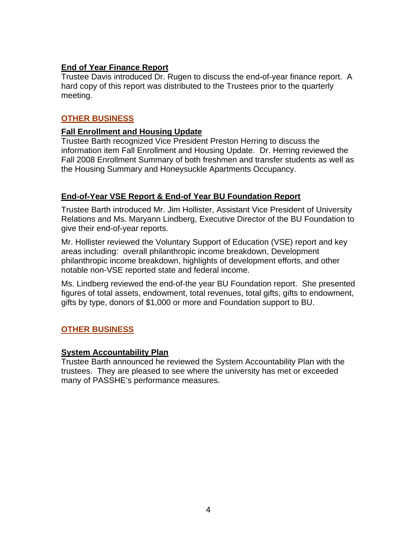# **End of Year Finance Report**

Trustee Davis introduced Dr. Rugen to discuss the end-of-year finance report. A hard copy of this report was distributed to the Trustees prior to the quarterly meeting.

# **OTHER BUSINESS**

# **Fall Enrollment and Housing Update**

Trustee Barth recognized Vice President Preston Herring to discuss the information item Fall Enrollment and Housing Update. Dr. Herring reviewed the Fall 2008 Enrollment Summary of both freshmen and transfer students as well as the Housing Summary and Honeysuckle Apartments Occupancy.

# **End-of-Year VSE Report & End-of Year BU Foundation Report**

Trustee Barth introduced Mr. Jim Hollister, Assistant Vice President of University Relations and Ms. Maryann Lindberg, Executive Director of the BU Foundation to give their end-of-year reports.

Mr. Hollister reviewed the Voluntary Support of Education (VSE) report and key areas including: overall philanthropic income breakdown, Development philanthropic income breakdown, highlights of development efforts, and other notable non-VSE reported state and federal income.

Ms. Lindberg reviewed the end-of-the year BU Foundation report. She presented figures of total assets, endowment, total revenues, total gifts, gifts to endowment, gifts by type, donors of \$1,000 or more and Foundation support to BU.

# **OTHER BUSINESS**

# **System Accountability Plan**

Trustee Barth announced he reviewed the System Accountability Plan with the trustees. They are pleased to see where the university has met or exceeded many of PASSHE's performance measures.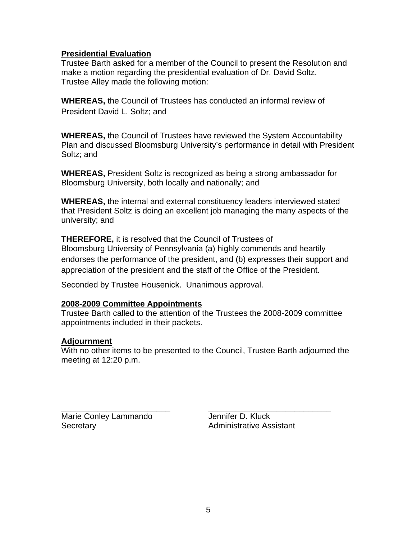# **Presidential Evaluation**

Trustee Barth asked for a member of the Council to present the Resolution and make a motion regarding the presidential evaluation of Dr. David Soltz. Trustee Alley made the following motion:

**WHEREAS,** the Council of Trustees has conducted an informal review of President David L. Soltz; and

**WHEREAS,** the Council of Trustees have reviewed the System Accountability Plan and discussed Bloomsburg University's performance in detail with President Soltz; and

**WHEREAS,** President Soltz is recognized as being a strong ambassador for Bloomsburg University, both locally and nationally; and

**WHEREAS,** the internal and external constituency leaders interviewed stated that President Soltz is doing an excellent job managing the many aspects of the university; and

**THEREFORE,** it is resolved that the Council of Trustees of Bloomsburg University of Pennsylvania (a) highly commends and heartily endorses the performance of the president, and (b) expresses their support and appreciation of the president and the staff of the Office of the President.

Seconded by Trustee Housenick. Unanimous approval.

## **2008-2009 Committee Appointments**

Trustee Barth called to the attention of the Trustees the 2008-2009 committee appointments included in their packets.

## **Adjournment**

With no other items to be presented to the Council, Trustee Barth adjourned the meeting at 12:20 p.m.

\_\_\_\_\_\_\_\_\_\_\_\_\_\_\_\_\_\_\_\_\_\_\_\_ \_\_\_\_\_\_\_\_\_\_\_\_\_\_\_\_\_\_\_\_\_\_\_\_\_\_\_ Marie Conley Lammando **Jennifer D. Kluck** Secretary **Administrative Assistant**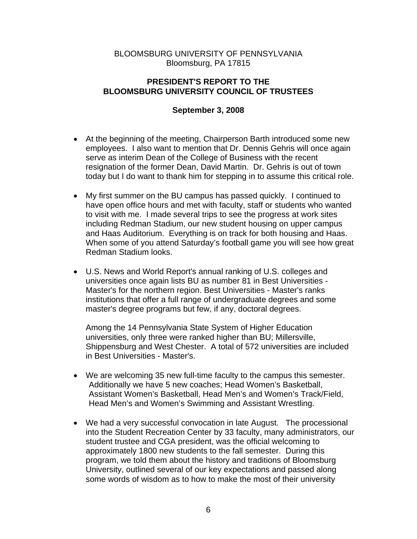## BLOOMSBURG UNIVERSITY OF PENNSYLVANIA Bloomsburg, PA 17815

## **PRESIDENT'S REPORT TO THE BLOOMSBURG UNIVERSITY COUNCIL OF TRUSTEES**

# **September 3, 2008**

- At the beginning of the meeting, Chairperson Barth introduced some new employees. I also want to mention that Dr. Dennis Gehris will once again serve as interim Dean of the College of Business with the recent resignation of the former Dean, David Martin. Dr. Gehris is out of town today but I do want to thank him for stepping in to assume this critical role.
- My first summer on the BU campus has passed quickly. I continued to have open office hours and met with faculty, staff or students who wanted to visit with me. I made several trips to see the progress at work sites including Redman Stadium, our new student housing on upper campus and Haas Auditorium. Everything is on track for both housing and Haas. When some of you attend Saturday's football game you will see how great Redman Stadium looks.
- U.S. News and World Report's annual ranking of U.S. colleges and universities once again lists BU as number 81 in Best Universities - Master's for the northern region. Best Universities - Master's ranks institutions that offer a full range of undergraduate degrees and some master's degree programs but few, if any, doctoral degrees.

Among the 14 Pennsylvania State System of Higher Education universities, only three were ranked higher than BU; Millersville, Shippensburg and West Chester. A total of 572 universities are included in Best Universities - Master's.

- We are welcoming 35 new full-time faculty to the campus this semester. Additionally we have 5 new coaches; Head Women's Basketball, Assistant Women's Basketball, Head Men's and Women's Track/Field, Head Men's and Women's Swimming and Assistant Wrestling.
- We had a very successful convocation in late August. The processional into the Student Recreation Center by 33 faculty, many administrators, our student trustee and CGA president, was the official welcoming to approximately 1800 new students to the fall semester. During this program, we told them about the history and traditions of Bloomsburg University, outlined several of our key expectations and passed along some words of wisdom as to how to make the most of their university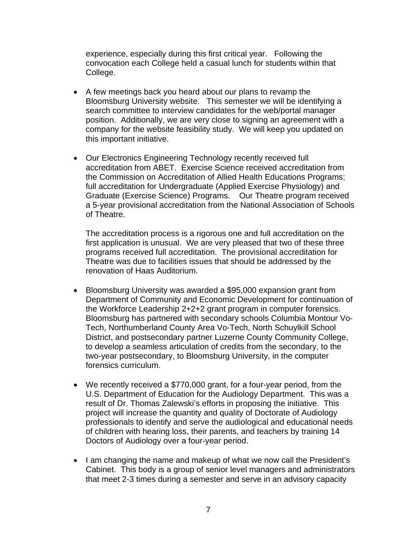experience, especially during this first critical year. Following the convocation each College held a casual lunch for students within that College.

- A few meetings back you heard about our plans to revamp the Bloomsburg University website. This semester we will be identifying a search committee to interview candidates for the web/portal manager position. Additionally, we are very close to signing an agreement with a company for the website feasibility study. We will keep you updated on this important initiative.
- Our Electronics Engineering Technology recently received full accreditation from ABET. Exercise Science received accreditation from the Commission on Accreditation of Allied Health Educations Programs; full accreditation for Undergraduate (Applied Exercise Physiology) and Graduate (Exercise Science) Programs. Our Theatre program received a 5-year provisional accreditation from the National Association of Schools of Theatre.

The accreditation process is a rigorous one and full accreditation on the first application is unusual. We are very pleased that two of these three programs received full accreditation. The provisional accreditation for Theatre was due to facilities issues that should be addressed by the renovation of Haas Auditorium.

- Bloomsburg University was awarded a \$95,000 expansion grant from Department of Community and Economic Development for continuation of the Workforce Leadership 2+2+2 grant program in computer forensics. Bloomsburg has partnered with secondary schools Columbia Montour Vo-Tech, Northumberland County Area Vo-Tech, North Schuylkill School District, and postsecondary partner Luzerne County Community College, to develop a seamless articulation of credits from the secondary, to the two-year postsecondary, to Bloomsburg University, in the computer forensics curriculum.
- We recently received a \$770,000 grant, for a four-year period, from the U.S. Department of Education for the Audiology Department. This was a result of Dr. Thomas Zalewski's efforts in proposing the initiative. This project will increase the quantity and quality of Doctorate of Audiology professionals to identify and serve the audiological and educational needs of children with hearing loss, their parents, and teachers by training 14 Doctors of Audiology over a four-year period.
- I am changing the name and makeup of what we now call the President's Cabinet. This body is a group of senior level managers and administrators that meet 2-3 times during a semester and serve in an advisory capacity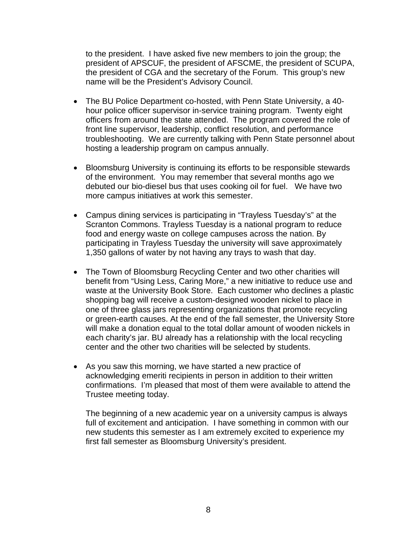to the president. I have asked five new members to join the group; the president of APSCUF, the president of AFSCME, the president of SCUPA, the president of CGA and the secretary of the Forum. This group's new name will be the President's Advisory Council.

- The BU Police Department co-hosted, with Penn State University, a 40 hour police officer supervisor in-service training program. Twenty eight officers from around the state attended. The program covered the role of front line supervisor, leadership, conflict resolution, and performance troubleshooting. We are currently talking with Penn State personnel about hosting a leadership program on campus annually.
- Bloomsburg University is continuing its efforts to be responsible stewards of the environment. You may remember that several months ago we debuted our bio-diesel bus that uses cooking oil for fuel. We have two more campus initiatives at work this semester.
- Campus dining services is participating in "Trayless Tuesday's" at the Scranton Commons. Trayless Tuesday is a national program to reduce food and energy waste on college campuses across the nation. By participating in Trayless Tuesday the university will save approximately 1,350 gallons of water by not having any trays to wash that day.
- The Town of Bloomsburg Recycling Center and two other charities will benefit from "Using Less, Caring More," a new initiative to reduce use and waste at the University Book Store. Each customer who declines a plastic shopping bag will receive a custom-designed wooden nickel to place in one of three glass jars representing organizations that promote recycling or green-earth causes. At the end of the fall semester, the University Store will make a donation equal to the total dollar amount of wooden nickels in each charity's jar. BU already has a relationship with the local recycling center and the other two charities will be selected by students.
- As you saw this morning, we have started a new practice of acknowledging emeriti recipients in person in addition to their written confirmations. I'm pleased that most of them were available to attend the Trustee meeting today.

The beginning of a new academic year on a university campus is always full of excitement and anticipation. I have something in common with our new students this semester as I am extremely excited to experience my first fall semester as Bloomsburg University's president.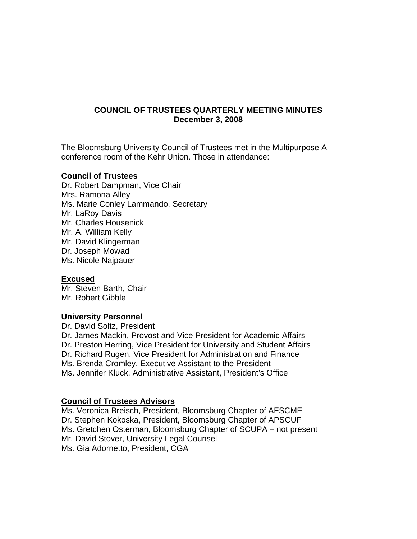# **COUNCIL OF TRUSTEES QUARTERLY MEETING MINUTES December 3, 2008**

The Bloomsburg University Council of Trustees met in the Multipurpose A conference room of the Kehr Union. Those in attendance:

## **Council of Trustees**

Dr. Robert Dampman, Vice Chair Mrs. Ramona Alley Ms. Marie Conley Lammando, Secretary Mr. LaRoy Davis Mr. Charles Housenick Mr. A. William Kelly Mr. David Klingerman Dr. Joseph Mowad Ms. Nicole Najpauer

## **Excused**

Mr. Steven Barth, Chair Mr. Robert Gibble

## **University Personnel**

Dr. David Soltz, President Dr. James Mackin, Provost and Vice President for Academic Affairs Dr. Preston Herring, Vice President for University and Student Affairs Dr. Richard Rugen, Vice President for Administration and Finance Ms. Brenda Cromley, Executive Assistant to the President Ms. Jennifer Kluck, Administrative Assistant, President's Office

## **Council of Trustees Advisors**

Ms. Veronica Breisch, President, Bloomsburg Chapter of AFSCME Dr. Stephen Kokoska, President, Bloomsburg Chapter of APSCUF Ms. Gretchen Osterman, Bloomsburg Chapter of SCUPA – not present Mr. David Stover, University Legal Counsel Ms. Gia Adornetto, President, CGA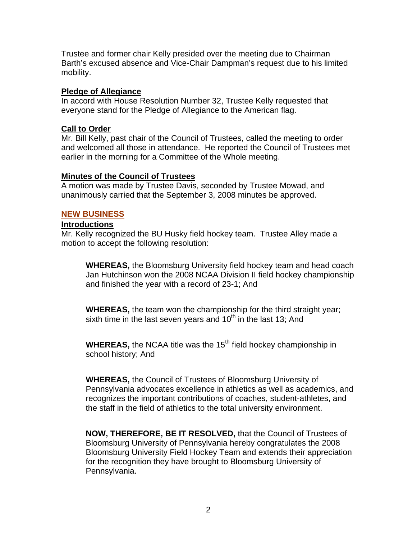Trustee and former chair Kelly presided over the meeting due to Chairman Barth's excused absence and Vice-Chair Dampman's request due to his limited mobility.

#### **Pledge of Allegiance**

In accord with House Resolution Number 32, Trustee Kelly requested that everyone stand for the Pledge of Allegiance to the American flag.

#### **Call to Order**

Mr. Bill Kelly, past chair of the Council of Trustees, called the meeting to order and welcomed all those in attendance. He reported the Council of Trustees met earlier in the morning for a Committee of the Whole meeting.

## **Minutes of the Council of Trustees**

A motion was made by Trustee Davis, seconded by Trustee Mowad, and unanimously carried that the September 3, 2008 minutes be approved.

#### **NEW BUSINESS**

#### **Introductions**

Mr. Kelly recognized the BU Husky field hockey team. Trustee Alley made a motion to accept the following resolution:

**WHEREAS,** the Bloomsburg University field hockey team and head coach Jan Hutchinson won the 2008 NCAA Division II field hockey championship and finished the year with a record of 23-1; And

**WHEREAS,** the team won the championship for the third straight year; sixth time in the last seven years and  $10<sup>th</sup>$  in the last 13; And

**WHEREAS,** the NCAA title was the 15<sup>th</sup> field hockey championship in school history; And

**WHEREAS,** the Council of Trustees of Bloomsburg University of Pennsylvania advocates excellence in athletics as well as academics, and recognizes the important contributions of coaches, student-athletes, and the staff in the field of athletics to the total university environment.

**NOW, THEREFORE, BE IT RESOLVED,** that the Council of Trustees of Bloomsburg University of Pennsylvania hereby congratulates the 2008 Bloomsburg University Field Hockey Team and extends their appreciation for the recognition they have brought to Bloomsburg University of Pennsylvania.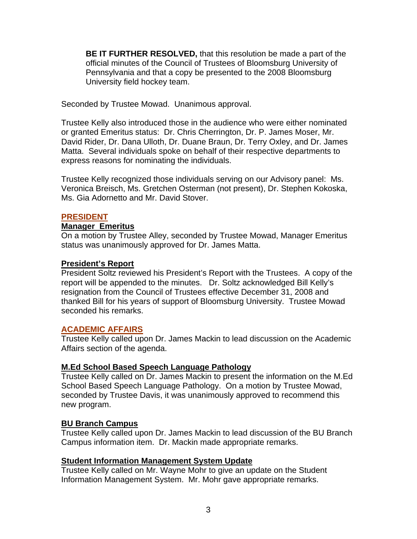**BE IT FURTHER RESOLVED,** that this resolution be made a part of the official minutes of the Council of Trustees of Bloomsburg University of Pennsylvania and that a copy be presented to the 2008 Bloomsburg University field hockey team.

Seconded by Trustee Mowad. Unanimous approval.

Trustee Kelly also introduced those in the audience who were either nominated or granted Emeritus status: Dr. Chris Cherrington, Dr. P. James Moser, Mr. David Rider, Dr. Dana Ulloth, Dr. Duane Braun, Dr. Terry Oxley, and Dr. James Matta. Several individuals spoke on behalf of their respective departments to express reasons for nominating the individuals.

Trustee Kelly recognized those individuals serving on our Advisory panel: Ms. Veronica Breisch, Ms. Gretchen Osterman (not present), Dr. Stephen Kokoska, Ms. Gia Adornetto and Mr. David Stover.

#### **PRESIDENT**

#### **Manager Emeritus**

On a motion by Trustee Alley, seconded by Trustee Mowad, Manager Emeritus status was unanimously approved for Dr. James Matta.

#### **President's Report**

President Soltz reviewed his President's Report with the Trustees. A copy of the report will be appended to the minutes. Dr. Soltz acknowledged Bill Kelly's resignation from the Council of Trustees effective December 31, 2008 and thanked Bill for his years of support of Bloomsburg University. Trustee Mowad seconded his remarks.

#### **ACADEMIC AFFAIRS**

Trustee Kelly called upon Dr. James Mackin to lead discussion on the Academic Affairs section of the agenda.

#### **M.Ed School Based Speech Language Pathology**

Trustee Kelly called on Dr. James Mackin to present the information on the M.Ed School Based Speech Language Pathology. On a motion by Trustee Mowad, seconded by Trustee Davis, it was unanimously approved to recommend this new program.

## **BU Branch Campus**

Trustee Kelly called upon Dr. James Mackin to lead discussion of the BU Branch Campus information item. Dr. Mackin made appropriate remarks.

#### **Student Information Management System Update**

Trustee Kelly called on Mr. Wayne Mohr to give an update on the Student Information Management System. Mr. Mohr gave appropriate remarks.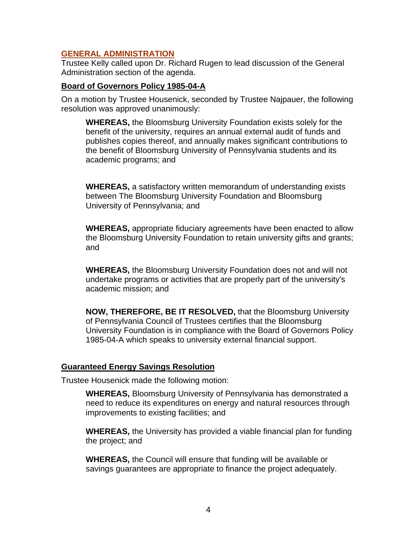## **GENERAL ADMINISTRATION**

Trustee Kelly called upon Dr. Richard Rugen to lead discussion of the General Administration section of the agenda.

#### **Board of Governors Policy 1985-04-A**

On a motion by Trustee Housenick, seconded by Trustee Najpauer, the following resolution was approved unanimously:

**WHEREAS,** the Bloomsburg University Foundation exists solely for the benefit of the university, requires an annual external audit of funds and publishes copies thereof, and annually makes significant contributions to the benefit of Bloomsburg University of Pennsylvania students and its academic programs; and

**WHEREAS,** a satisfactory written memorandum of understanding exists between The Bloomsburg University Foundation and Bloomsburg University of Pennsylvania; and

**WHEREAS,** appropriate fiduciary agreements have been enacted to allow the Bloomsburg University Foundation to retain university gifts and grants; and

**WHEREAS,** the Bloomsburg University Foundation does not and will not undertake programs or activities that are properly part of the university's academic mission; and

**NOW, THEREFORE, BE IT RESOLVED,** that the Bloomsburg University of Pennsylvania Council of Trustees certifies that the Bloomsburg University Foundation is in compliance with the Board of Governors Policy 1985-04-A which speaks to university external financial support.

#### **Guaranteed Energy Savings Resolution**

Trustee Housenick made the following motion:

**WHEREAS,** Bloomsburg University of Pennsylvania has demonstrated a need to reduce its expenditures on energy and natural resources through improvements to existing facilities; and

**WHEREAS,** the University has provided a viable financial plan for funding the project; and

**WHEREAS,** the Council will ensure that funding will be available or savings guarantees are appropriate to finance the project adequately.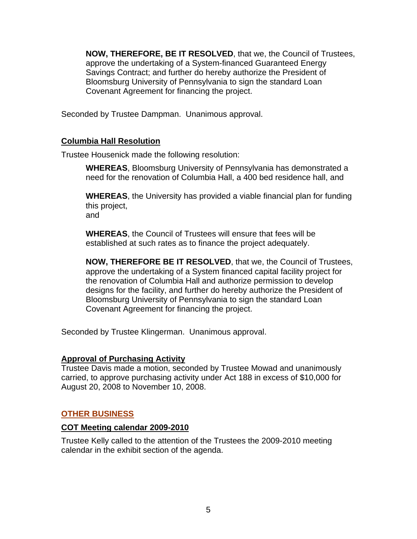**NOW, THEREFORE, BE IT RESOLVED**, that we, the Council of Trustees, approve the undertaking of a System-financed Guaranteed Energy Savings Contract; and further do hereby authorize the President of Bloomsburg University of Pennsylvania to sign the standard Loan Covenant Agreement for financing the project.

Seconded by Trustee Dampman. Unanimous approval.

# **Columbia Hall Resolution**

Trustee Housenick made the following resolution:

**WHEREAS**, Bloomsburg University of Pennsylvania has demonstrated a need for the renovation of Columbia Hall, a 400 bed residence hall, and

**WHEREAS**, the University has provided a viable financial plan for funding this project,

and

**WHEREAS**, the Council of Trustees will ensure that fees will be established at such rates as to finance the project adequately.

**NOW, THEREFORE BE IT RESOLVED**, that we, the Council of Trustees, approve the undertaking of a System financed capital facility project for the renovation of Columbia Hall and authorize permission to develop designs for the facility, and further do hereby authorize the President of Bloomsburg University of Pennsylvania to sign the standard Loan Covenant Agreement for financing the project.

Seconded by Trustee Klingerman. Unanimous approval.

## **Approval of Purchasing Activity**

Trustee Davis made a motion, seconded by Trustee Mowad and unanimously carried, to approve purchasing activity under Act 188 in excess of \$10,000 for August 20, 2008 to November 10, 2008.

## **OTHER BUSINESS**

## **COT Meeting calendar 2009-2010**

Trustee Kelly called to the attention of the Trustees the 2009-2010 meeting calendar in the exhibit section of the agenda.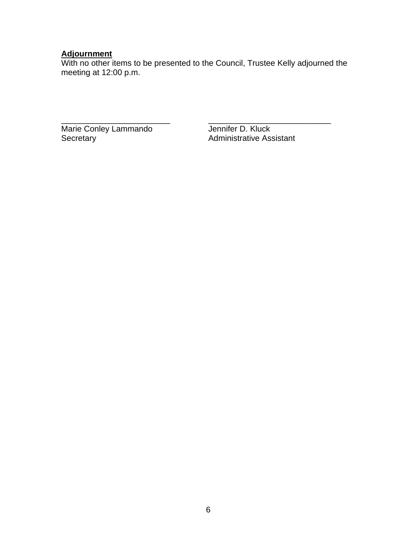#### **Adjournment**

With no other items to be presented to the Council, Trustee Kelly adjourned the meeting at 12:00 p.m.

Marie Conley Lammando<br>Secretary Administrative Ass

\_\_\_\_\_\_\_\_\_\_\_\_\_\_\_\_\_\_\_\_\_\_\_\_ \_\_\_\_\_\_\_\_\_\_\_\_\_\_\_\_\_\_\_\_\_\_\_\_\_\_\_ Administrative Assistant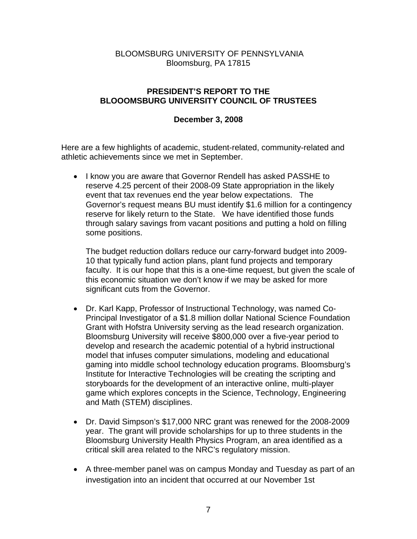# BLOOMSBURG UNIVERSITY OF PENNSYLVANIA Bloomsburg, PA 17815

# **PRESIDENT'S REPORT TO THE BLOOOMSBURG UNIVERSITY COUNCIL OF TRUSTEES**

# **December 3, 2008**

Here are a few highlights of academic, student-related, community-related and athletic achievements since we met in September.

• I know you are aware that Governor Rendell has asked PASSHE to reserve 4.25 percent of their 2008-09 State appropriation in the likely event that tax revenues end the year below expectations. The Governor's request means BU must identify \$1.6 million for a contingency reserve for likely return to the State. We have identified those funds through salary savings from vacant positions and putting a hold on filling some positions.

The budget reduction dollars reduce our carry-forward budget into 2009- 10 that typically fund action plans, plant fund projects and temporary faculty. It is our hope that this is a one-time request, but given the scale of this economic situation we don't know if we may be asked for more significant cuts from the Governor.

- Dr. Karl Kapp, Professor of Instructional Technology, was named Co-Principal Investigator of a \$1.8 million dollar National Science Foundation Grant with Hofstra University serving as the lead research organization. Bloomsburg University will receive \$800,000 over a five-year period to develop and research the academic potential of a hybrid instructional model that infuses computer simulations, modeling and educational gaming into middle school technology education programs. Bloomsburg's Institute for Interactive Technologies will be creating the scripting and storyboards for the development of an interactive online, multi-player game which explores concepts in the Science, Technology, Engineering and Math (STEM) disciplines.
- Dr. David Simpson's \$17,000 NRC grant was renewed for the 2008-2009 year. The grant will provide scholarships for up to three students in the Bloomsburg University Health Physics Program, an area identified as a critical skill area related to the NRC's regulatory mission.
- A three-member panel was on campus Monday and Tuesday as part of an investigation into an incident that occurred at our November 1st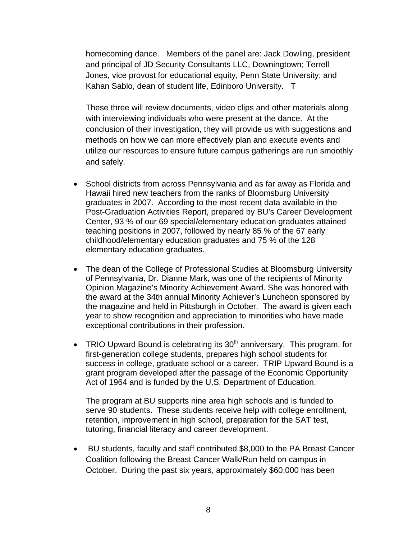homecoming dance. Members of the panel are: Jack Dowling, president and principal of JD Security Consultants LLC, Downingtown; Terrell Jones, vice provost for educational equity, Penn State University; and Kahan Sablo, dean of student life, Edinboro University. T

These three will review documents, video clips and other materials along with interviewing individuals who were present at the dance. At the conclusion of their investigation, they will provide us with suggestions and methods on how we can more effectively plan and execute events and utilize our resources to ensure future campus gatherings are run smoothly and safely.

- School districts from across Pennsylvania and as far away as Florida and Hawaii hired new teachers from the ranks of Bloomsburg University graduates in 2007. According to the most recent data available in the Post-Graduation Activities Report, prepared by BU's Career Development Center, 93 % of our 69 special/elementary education graduates attained teaching positions in 2007, followed by nearly 85 % of the 67 early childhood/elementary education graduates and 75 % of the 128 elementary education graduates.
- The dean of the College of Professional Studies at Bloomsburg University of Pennsylvania, Dr. Dianne Mark, was one of the recipients of Minority Opinion Magazine's Minority Achievement Award. She was honored with the award at the 34th annual Minority Achiever's Luncheon sponsored by the magazine and held in Pittsburgh in October. The award is given each year to show recognition and appreciation to minorities who have made exceptional contributions in their profession.
- TRIO Upward Bound is celebrating its  $30<sup>th</sup>$  anniversary. This program, for first-generation college students, prepares high school students for success in college, graduate school or a career. TRIP Upward Bound is a grant program developed after the passage of the Economic Opportunity Act of 1964 and is funded by the U.S. Department of Education.

The program at BU supports nine area high schools and is funded to serve 90 students. These students receive help with college enrollment, retention, improvement in high school, preparation for the SAT test, tutoring, financial literacy and career development.

• BU students, faculty and staff contributed \$8,000 to the PA Breast Cancer Coalition following the Breast Cancer Walk/Run held on campus in October. During the past six years, approximately \$60,000 has been